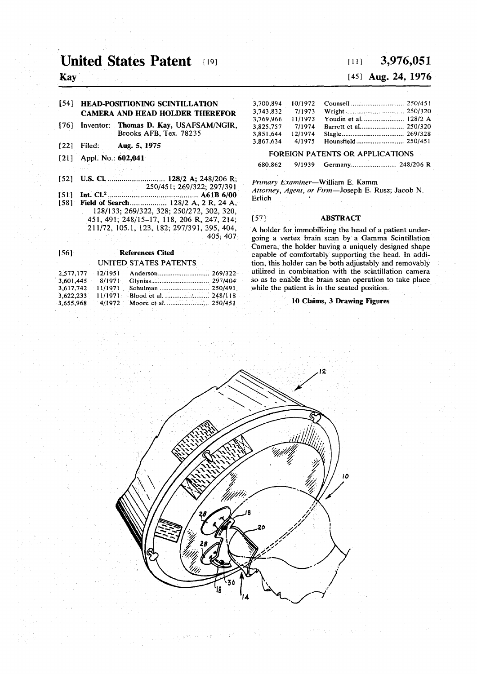# **United States Patent [19]**

**Kay** 

## **[54] HEAD-POSITIONING SCINTILLATION CAMERA AND HEAD HOLDER THEREFOR**

- **[76] Inventor: Thomas D. Kay, USAFSAM/NGIR, Brooks AFB, Tex. 78235**
- **[22] Filed: Aug. 5, 1975**
- **[21] Appl. No.: 602,041**
- **[52] U.S. CI 128/2 A; 248/206 R; 250/451; 269/322; 297/391**
- **[51] Int. CI.<sup>2</sup> .... A61B6/0 0**  [58] **Field of Search ..................** 128/2 A, 2 R, 24 A, **128/133; 269/322, 328; 250/272, 302, 320, 451, 491; 248/15-17, 118, 206 R, 247, 214; 211/72, 105.1, 123, 182; 297/391, 395, 404, 405; 407**

## **[56] References Cited**

### **UNITED STATES PATENTS 2,577,177 12/1951 Anderson. 269/322 3,601,445 8/1971 Glynias.................................. 297/404 3,617,742 11/1971 Schulman ......................... 250/491 3,617,742** 11/1971 Schulman ........................... 250/491<br>**3,622,233** 11/1971 Blood et al. ........................ 248/118 **3,622,233 11/1971 Blood et al. 248/118 3,655,968 4/1972 Moore et al. ..........;.... 250/451**

# **[ii ] 3,976,05 1**

## **[45] Aug. 24, 1976**

| 3.700.894 | 10/1972 |                        |  |
|-----------|---------|------------------------|--|
| 3.743.832 | 7/1973  |                        |  |
| 3.769.966 | 11/1973 | Youdin et al.  128/2 A |  |
| 3.825.757 | 7/1974  |                        |  |
| 3.851.644 | 12/1974 |                        |  |
| 3.867.634 | 4/1975  |                        |  |
|           |         |                        |  |

## **FOREIGN PATENTS OR APPLICATIONS**

**680,862 9/1939 Germany 248/206 R** 

*Primary Examiner***—William E. Kamm**  *Attorney, Agent, or Firm***—Joseph E. Rusz; Jacob N. Erlich** 

### **[57] ABSTRACT**

**A holder for immobilizing the head of a patient undergoing a vertex brain scan by a Gamma Scintillation Camera, the holder having a uniquely designed shape capable of comfortably supporting the head. In addition, this holder can be both adjustably and removably utilized in combination with the scintillation camera so as to enable the brain scan operation to take place while the patient is in the seated position.** 

### **10 Claims, 3 Drawing Figures**



 $\tau_1^{\pm}$  is  $2\sqrt{1-\epsilon}$  and  $\epsilon\to\infty$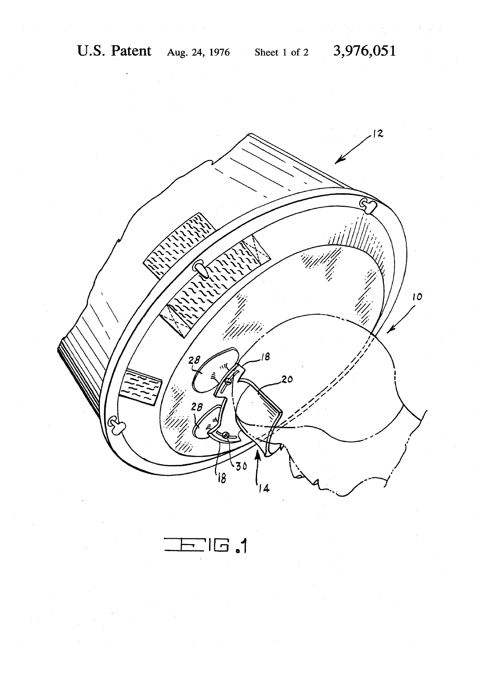

 $\Gamma$ . al $\Gamma$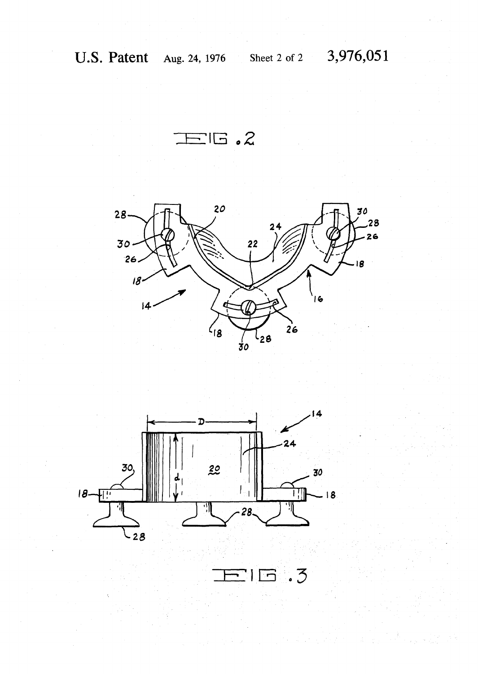$\Xi$ IG.2





 $\overline{\phantom{a}}$  $\cdot$  3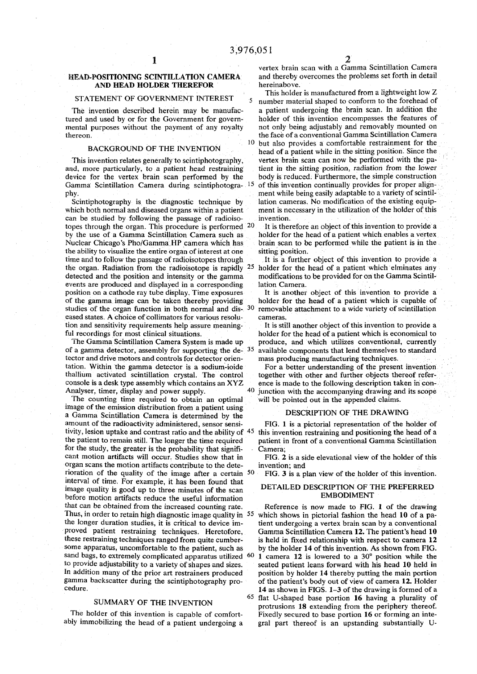# **AND HEAD HOLDER THEREFOR hereinabove.**

mental purposes without the payment of any royalty thereon.

### **BACKGROUND OF THE INVENTION**

and, more particularly, to a patient head restraining **Gamma Scintillation Camera during scintiphotogra- 15**

**can be studied by following the passage of radioiso- invention. topes through the organ. This procedure is performed 2 0** Nuclear Chicago's Pho/Gamma HP camera which has **the ability to visualize the entire organ of interest at one sitting position.**  time and to follow the passage of radioisotopes through It is a further object of this invention to provide a **the organ. Radiation from the radioisotope is rapidly 2 5 events are produced and displayed in a corresponding lation Camera.**  position on a cathode ray tube display. Time exposures **studies of the organ function in both normal and dis- 3 0 eased states. A choice of collimators for various resolu- cameras. tion and sensitivity requirements help assure meaning- It is still another object of this invention to provide a** 

**of a gamma detector, assembly for supporting the de- 3 5 tector and drive motors and controls for detector orien- mass producing manufacturing techniques, tation. Within the gamma detector is a sodium-ioide For a better understanding of the present invention Analyser, timer, display and power supply.**

**The counting time required to obtain an optimal will be pointed out in the appended claims. image of the emission distribution from a patient using**  $\sum_{n=1}^{\infty}$  **<b>DESCRIPTION OF THE DRAWING** a Gamma Scintillation Camera is determined by the amount of the radioactivity administered, sensor sensi-<br>FIG. 1 is a pictorial representation of the holder of **tivity, lesion uptake and contrast ratio and the ability of 4 5 for the study, the greater is the probability that signifi- Camera; cant motion artifacts will occur. Studies show that in FIG. 2 is a side elevational view of the holder of this organ scans the motion artifacts contribute to the dete- invention; and rioration of the quality of the image after a certain 5 0 interval of time. For example, it has been found that image quality is good up to three minutes of the scan** DETAILED DESCRIPTION OF THE PREFERRED **image** quality is good up to three minutes of the scan **DETAILED DESCRIPTION OF THE PREFERRED** before motion artifacts reduce the useful information **that can be obtained from the increased counting rate. Reference is now made to FIG. 1 of the drawing Thus, in order to retain high diagnostic image quality in 5 5 sand bags, to extremely complicated apparatus utilized 6 0**

#### **SUMMARY OF THE INVENTION**

The holder of this invention is capable of comfort-<br>ably immobilizing the head of a patient undergoing a gral part thereof is an upstanding substantially U-

*1 2* 

**vertex brain scan with a Gamma Scintillation Camera**  HEAD-POSITIONING SCINTILLATION CAMERA and thereby overcomes the problems set forth in detail

**This holder is manufactured from a lightweight low Z STATEMENT OF GOVERNMENT INTEREST** 5 number material shaped to conform to the forehead of The invention described herein may be manufac-<br>tured and used by or for the Government for govern-<br>holder of this invention encompasses the features of holder of this invention encompasses the features of not only being adjustably and removably mounted on the face of a conventional Gamma Scintillation Camera **1 0 but also provides a comfortable restrainment for the h** patient while in the sitting position. Since the **patient** This invention relates generally to scintiphotography, vertex brain scan can now be performed with the pa-<br>
Id, more particularly, to a patient head restraining tient in the sitting position, radiation from the lower **device for the vertex brain scan performed by the body is reduced. Furthermore, the simple construction of this invention continually provides for proper ajignphy.** ment while being easily adaptable to a variety of scintil-**Scintiphotography is the diagnostic technique by lation cameras. No modification of the existing equip**which both normal and diseased organs within a patient ment is necessary in the utilization of the holder of this

 **It is therefore an object of this invention to provide a**  by the use of a Gamma Scintillation Camera such as holder for the head of a patient which enables a vertex Nuclear Chicago's Pho/Gamma HP camera which has brain scan to be performed while the patient is in the

 **holder for the head of a patient which elminates any detected and the position and intensity or the gamma modifications to be provided for on the Gamma Scintil-**

**of the gamma image can be taken thereby providing holder for the head of a patient which is capable of removable attachment to a wide variety of scintillation** 

**ful recordings for most clinical situations. holder for the head of a patient which is economical to**  The Gamma Scintillation Camera System is made up produce, and which utilizes conventional, currently  **available components that lend themselves to standard** 

thallium activated scintillation crystal. The control together with other and further objects thereof refer-<br>
console is a desk type assembly which contains an XYZ ence is made to the following description taken in conence is made to the following description taken in con- **4 0 junction with the accompanying drawing and its scope** 

 **this invention restraining and positioning the head of a the patient to remain still. The longer the time required patient in front of a conventional Gamma Scintillation** 

 **FIG. 3 is a plan view of the holder of this invention,** 

 **which shows in pictorial fashion the head 10 of a pathe longer duration studies, it is critical to device im- tient undergoing a vertex brain scan by a conventional proved patient restraining techniques. Heretofore, Gamma Scintillation Camera 12. The patient's head 10 these restraining techniques ranged from quite cumber- is held in fixed relationship with respect to camera 12**  some apparatus, uncomfortable to the patient, such as by the holder 14 of this invention. As shown from FIG.  **1 camera 12 is lowered to a** 30° **position while the to provide adjustability to a variety of shapes and sizes. seated patient leans forward with his head 10 held in In addition many of the prior art restrainers produced position by holder 14 thereby putting the main portion gamma backscatter during the scintiphotography pro- of the patient's body out of view of camera 12. Holder cedure.** 14 as shown in FIGS. 1-3 of the drawing is formed of a **14** as shown in FIGS. 1-3 of the drawing is formed of a **e flat U-shaped base portion <b>16** having a plurality of **f protrusions 18 extending from the periphery thereof.**  gral part thereof is an upstanding substantially U-